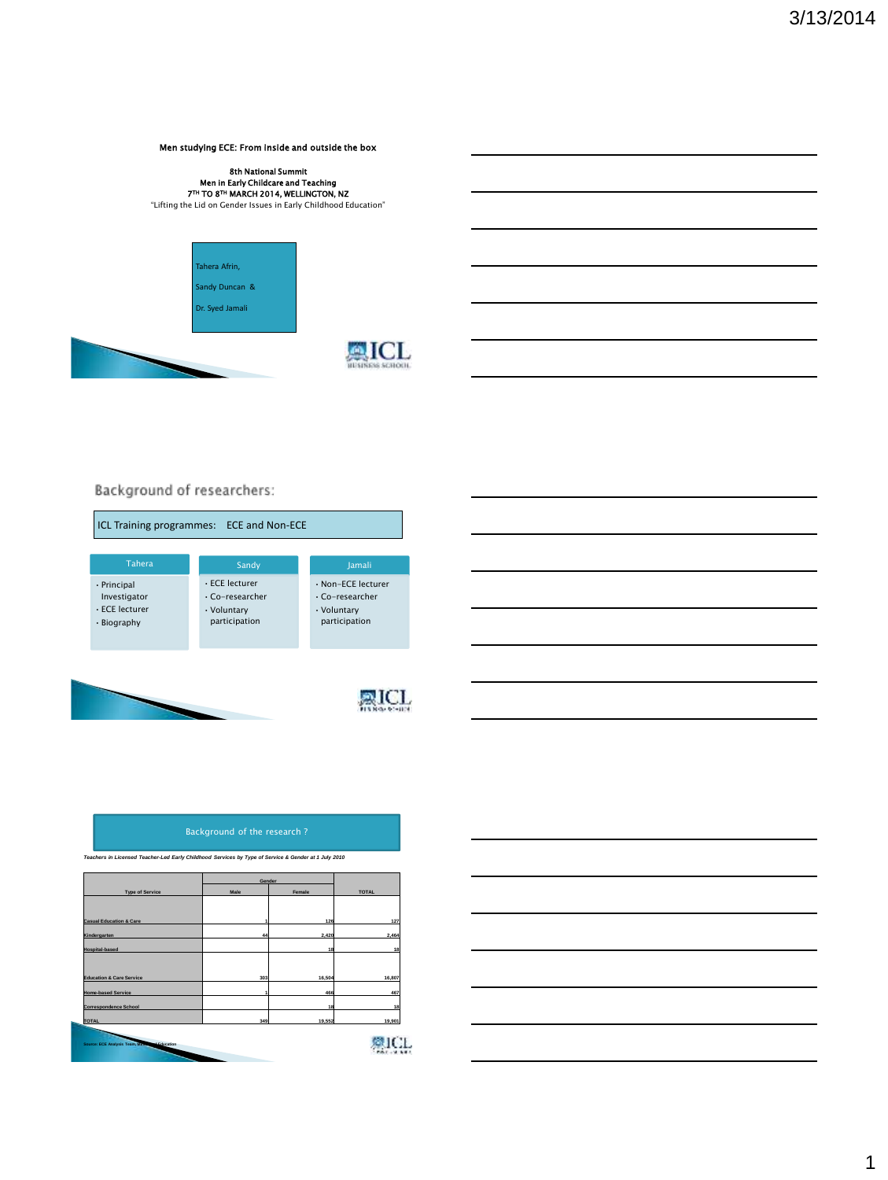#### Men studying ECE: From inside and outside the box

# 8th National Summit<br>Men in Early Childcare and Teaching<br>7™ TO 8™ MARCH 2014, WELLINGTON, NZ "Lifting the Lid on Gender Issues in Early Childhood Education"





### Background of researchers:



### Background of the research ?

*Teachers in Licensed Teacher-Led Early Childhood Services by Type of Service & Gender at 1 July 2010*

|                                                          | Gender |        |                    |
|----------------------------------------------------------|--------|--------|--------------------|
| <b>Type of Service</b>                                   | Male   | Female | <b>TOTAL</b>       |
|                                                          |        |        |                    |
|                                                          |        |        |                    |
| <b>Casual Education &amp; Care</b>                       |        | 126    | 127                |
| Kindergarten                                             | 44     | 2,420  | 2,464              |
| <b>Hospital-based</b>                                    |        | 18     | 18                 |
|                                                          |        |        |                    |
| <b>Education &amp; Care Service</b>                      | 303    | 16,504 | 16,807             |
| <b>Home-based Service</b>                                |        | 466    | 467                |
| <b>Correspondence School</b>                             |        | 18     | 18                 |
| <b>TOTAL</b>                                             | 349    | 19,552 | 19,901             |
|                                                          |        |        | 意目<br>СF.          |
| <b>AFA</b> ucation<br>Source: ECE Analysis Team, Million |        |        | <b>PACK - 2012</b> |
|                                                          |        |        |                    |

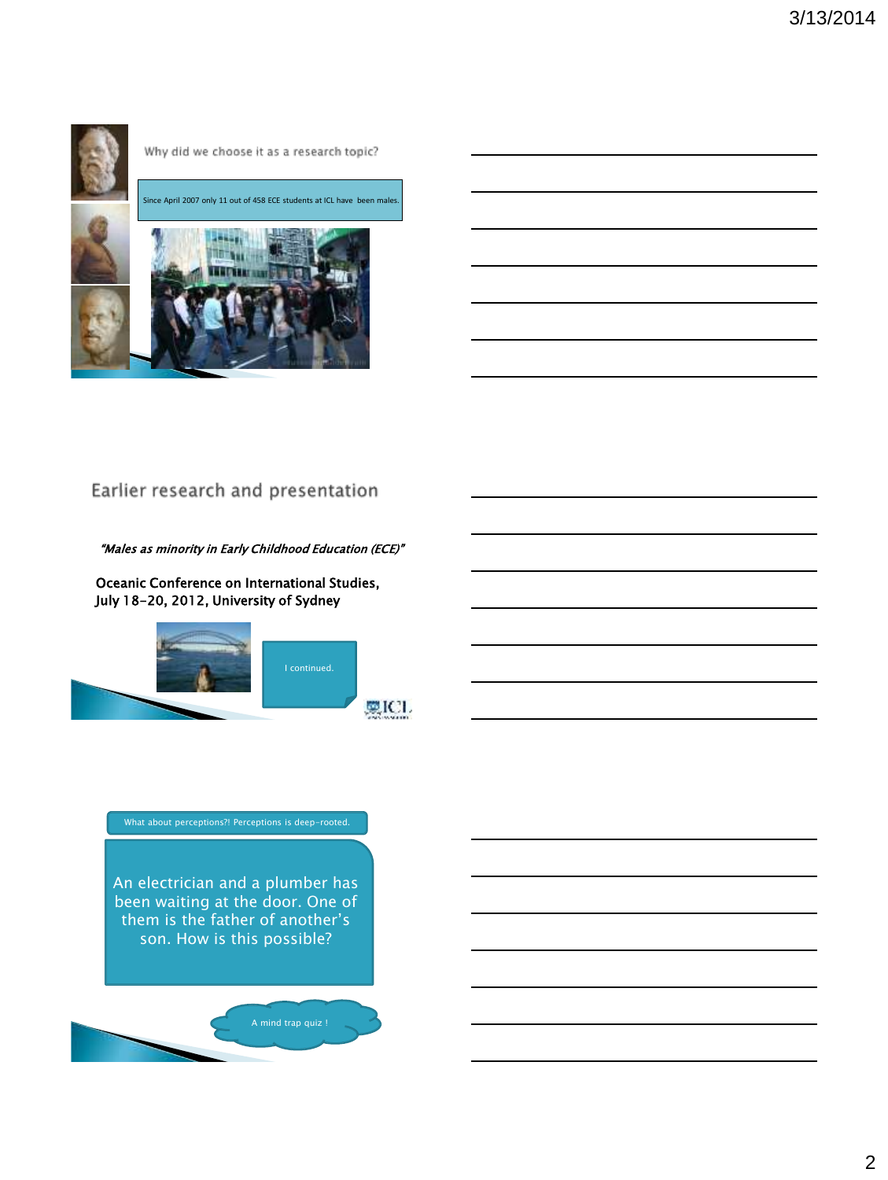

### Why did we choose it as a research topic?



# Earlier research and presentation

#### "Males as minority in Early Childhood Education (ECE)"

Oceanic Conference on International Studies, July 18-20, 2012, University of Sydney



An electrician and a plumber has been waiting at the door. One of them is the father of another's son. How is this possible?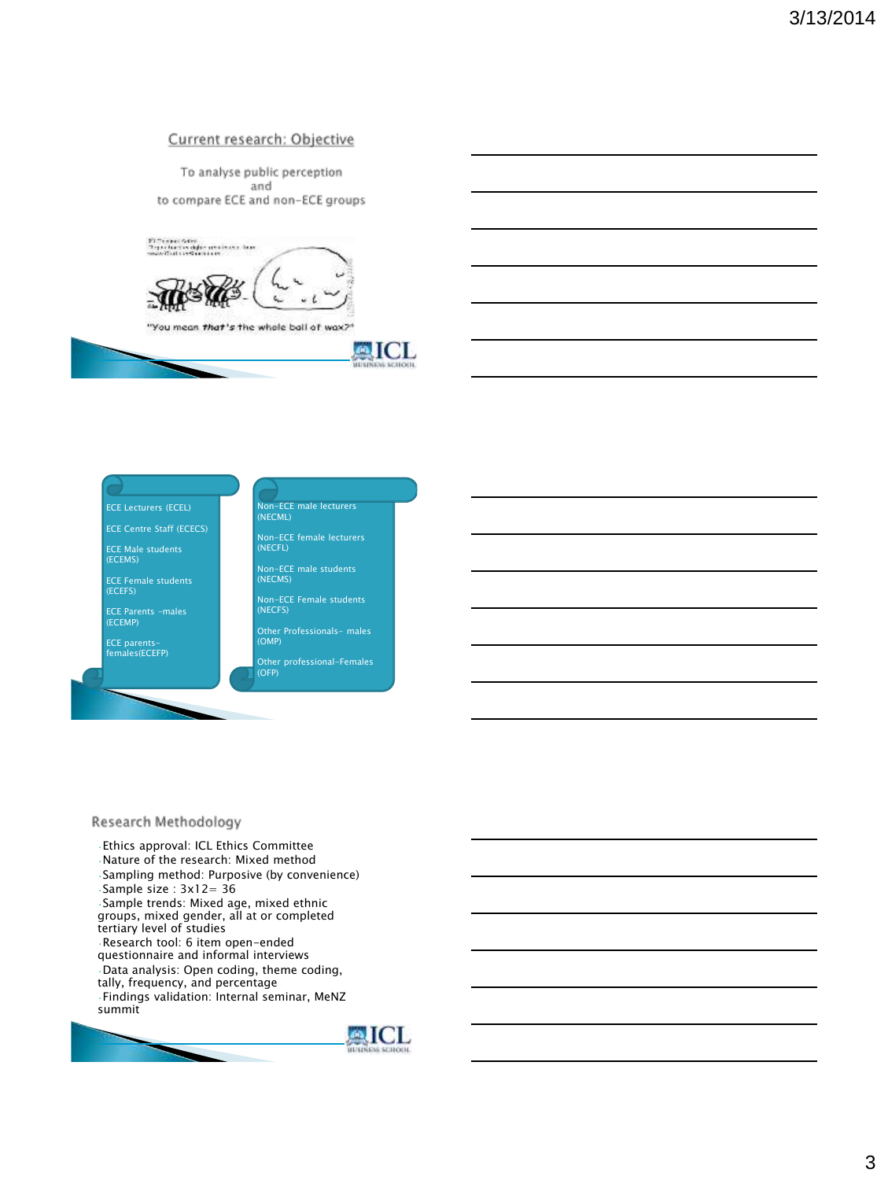### Current research: Objective

To analyse public perception and to compare ECE and non-ECE groups





ECE Female students (ECEFS)

ECE Parents –males (ECEMP)

ECE parents-females(ECEFP)



AICL

Other professional-Females (OFP)

#### Research Methodology

•Ethics approval: ICL Ethics Committee •Nature of the research: Mixed method •Sampling method: Purposive (by convenience) •Sample size : 3x12= 36 •Sample trends: Mixed age, mixed ethnic groups, mixed gender, all at or completed tertiary level of studies •Research tool: 6 item open-ended questionnaire and informal interviews •Data analysis: Open coding, theme coding, tally, frequency, and percentage •Findings validation: Internal seminar, MeNZ summit

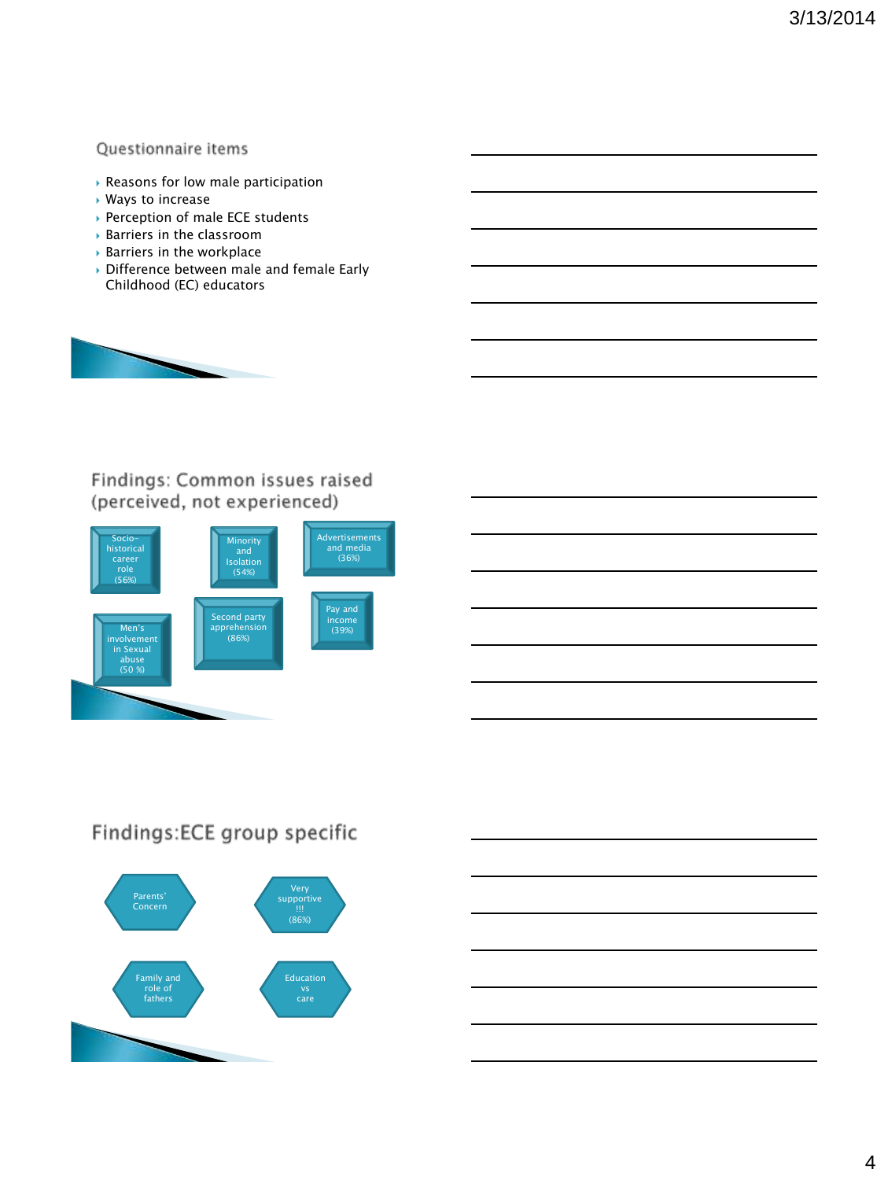### Questionnaire items

- Reasons for low male participation
- Ways to increase
- ▶ Perception of male ECE students
- Barriers in the classroom
- Barriers in the workplace
- Difference between male and female Early Childhood (EC) educators



# Findings: Common issues raised (perceived, not experienced)



# Findings:ECE group specific

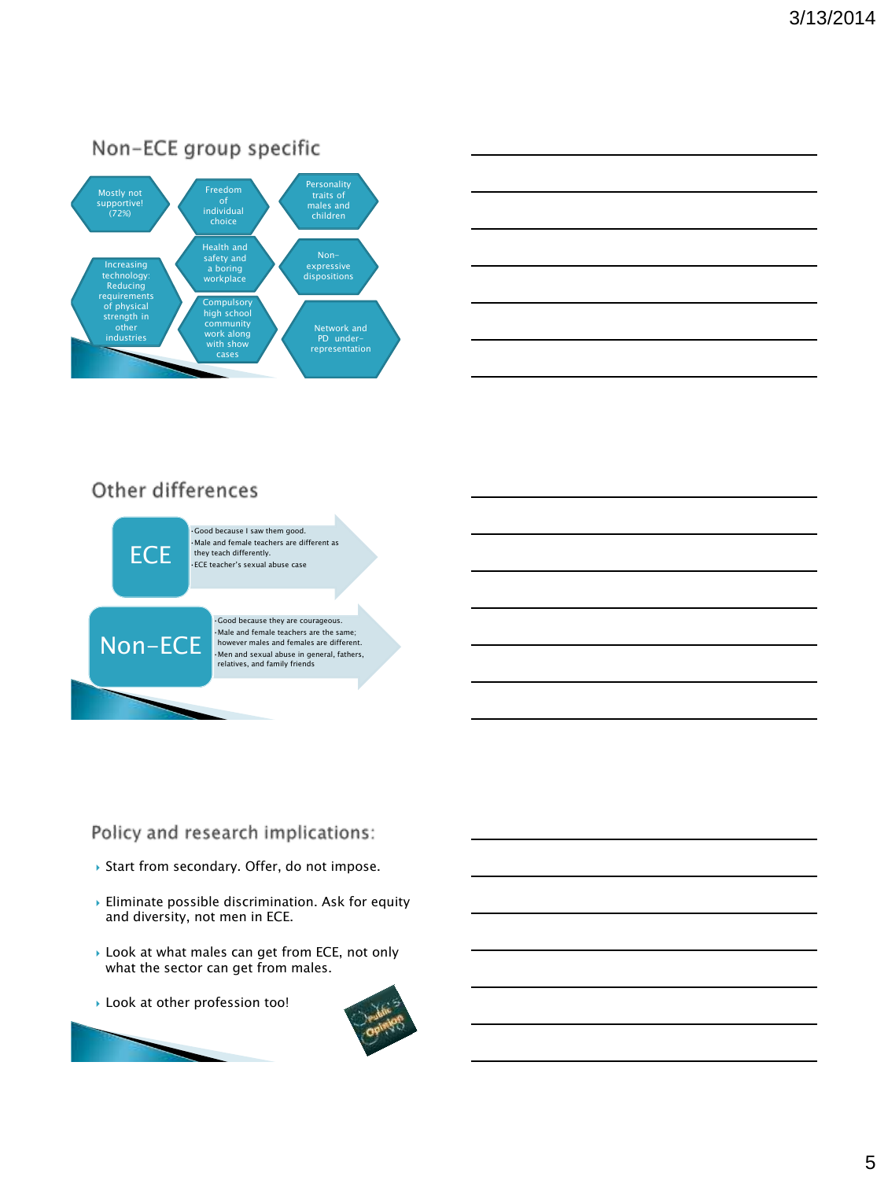



# Other differences



•Good because they are courageous. •Male and female teachers are the same; however males and females are different. •Men and sexual abuse in general, fathers, relatives, and family friends

# Policy and research implications:

- ▶ Start from secondary. Offer, do not impose.
- Eliminate possible discrimination. Ask for equity and diversity, not men in ECE.
- ▶ Look at what males can get from ECE, not only what the sector can get from males.
- Look at other profession too!



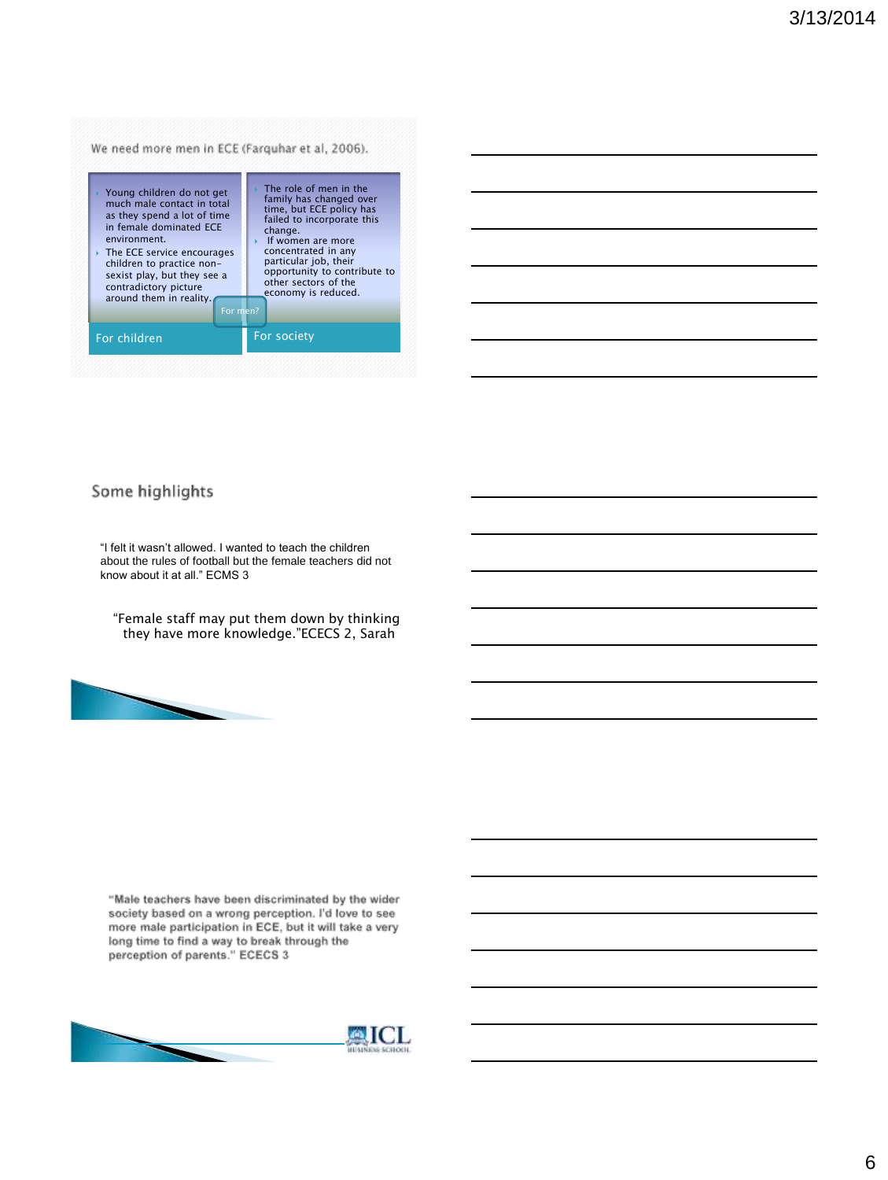| Young children do not get   | The role of men in the       |
|-----------------------------|------------------------------|
| much male contact in total  | family has changed over      |
| as they spend a lot of time | time, but ECE policy has     |
| in female dominated ECE     | failed to incorporate this   |
| environment.                | change.                      |
| The ECE service encourages  | If women are more            |
| children to practice non-   | concentrated in any          |
| sexist play, but they see a | particular job, their        |
| contradictory picture       | opportunity to contribute to |
| around them in reality.     | other sectors of the         |
| For men?                    | economy is reduced.          |
| For children                | For society                  |

| <u> 1989 - Johann Stoff, amerikansk politiker (d. 1989)</u>                                                           |  |  |
|-----------------------------------------------------------------------------------------------------------------------|--|--|
| <u> 1989 - Johann Stoff, deutscher Stoffen und der Stoffen und der Stoffen und der Stoffen und der Stoffen und de</u> |  |  |
|                                                                                                                       |  |  |
| <u> 1989 - Johann Stoff, deutscher Stoffen und der Stoffen und der Stoffen und der Stoffen und der Stoffen und de</u> |  |  |
| <u> 1989 - Johann Stoff, deutscher Stoff, der Stoff, der Stoff, der Stoff, der Stoff, der Stoff, der Stoff, der S</u> |  |  |
|                                                                                                                       |  |  |

# Some highlights

"I felt it wasn't allowed. I wanted to teach the children about the rules of football but the female teachers did not know about it at all." ECMS 3

"Female staff may put them down by thinking they have more knowledge."ECECS 2, Sarah



"Male teachers have been discriminated by the wider society based on a wrong perception. I'd love to see more male participation in ECE, but it will take a very long time to find a way to break through the perception of parents." ECECS 3

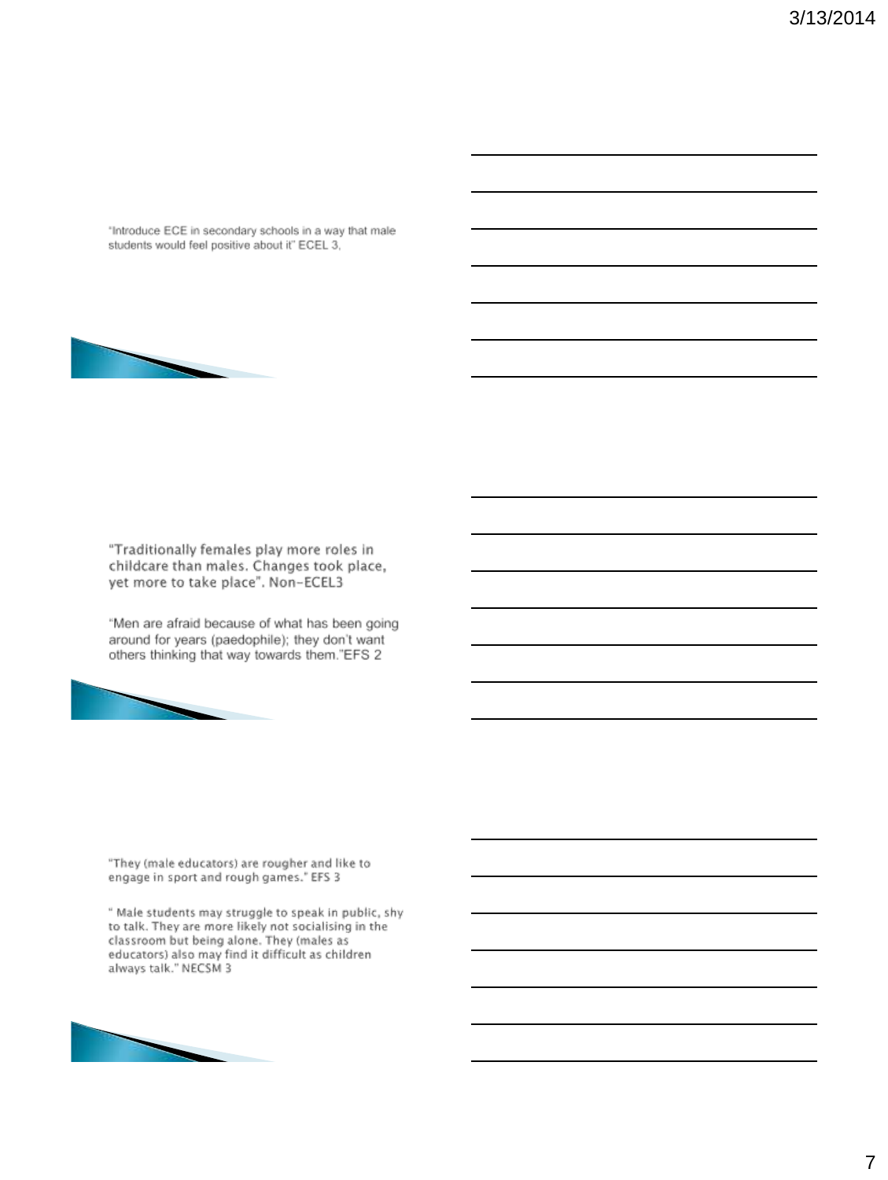"Introduce ECE in secondary schools in a way that male students would feel positive about it" ECEL 3,



"Traditionally females play more roles in childcare than males. Changes took place, yet more to take place". Non-ECEL3

"Men are afraid because of what has been going around for years (paedophile); they don't want others thinking that way towards them."EFS 2



"They (male educators) are rougher and like to engage in sport and rough games." EFS 3

" Male students may struggle to speak in public, shy<br>to talk. They are more likely not socialising in the classroom but being alone. They (males as<br>educators) also may find it difficult as children<br>always talk." NECSM 3

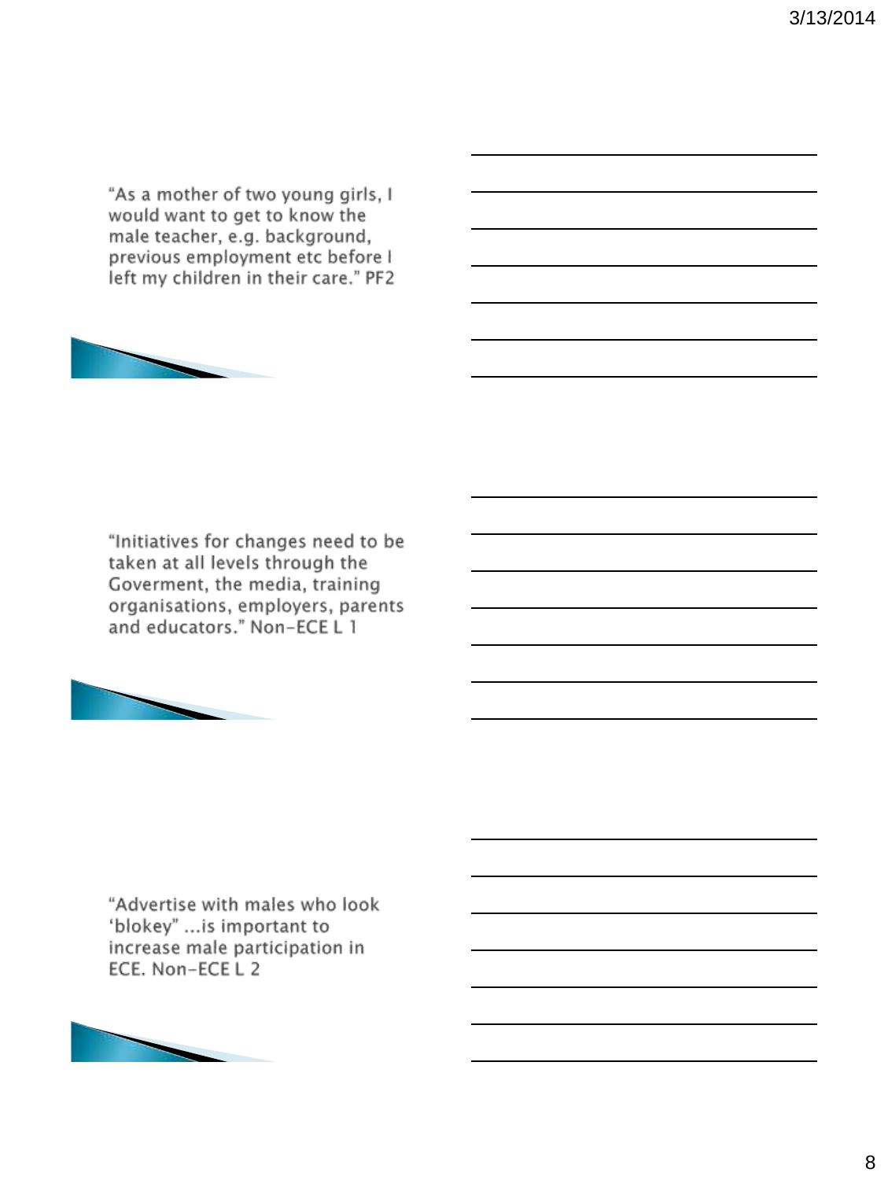"As a mother of two young girls, I would want to get to know the male teacher, e.g. background, previous employment etc before I left my children in their care." PF2



"Initiatives for changes need to be taken at all levels through the Goverment, the media, training organisations, employers, parents and educators." Non-ECE L 1



"Advertise with males who look 'blokey" ... is important to increase male participation in ECE. Non-ECE L 2

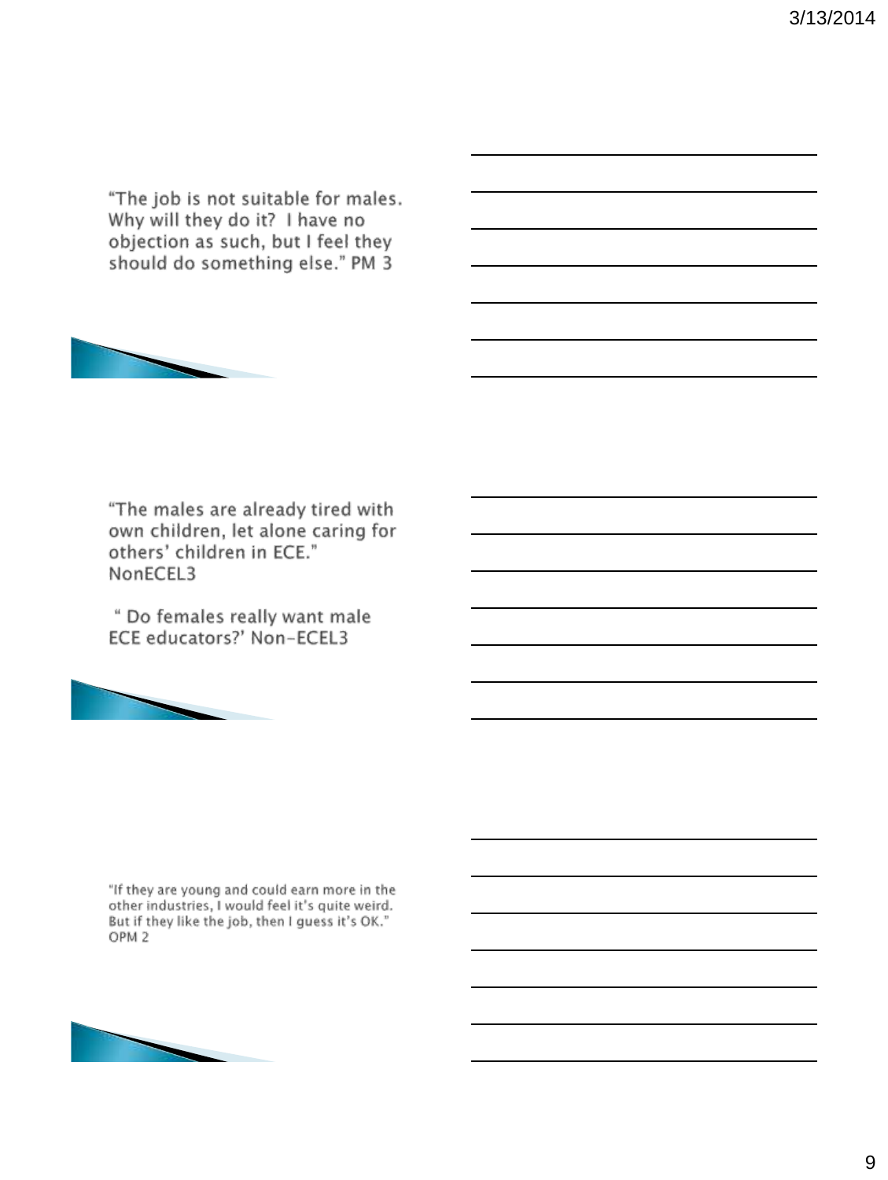"The job is not suitable for males. Why will they do it? I have no objection as such, but I feel they should do something else." PM 3



"The males are already tired with own children, let alone caring for others' children in ECE." NonECEL3

" Do females really want male ECE educators?' Non-ECEL3



"If they are young and could earn more in the other industries, I would feel it's quite weird. But if they like the job, then I guess it's OK." OPM<sub>2</sub>

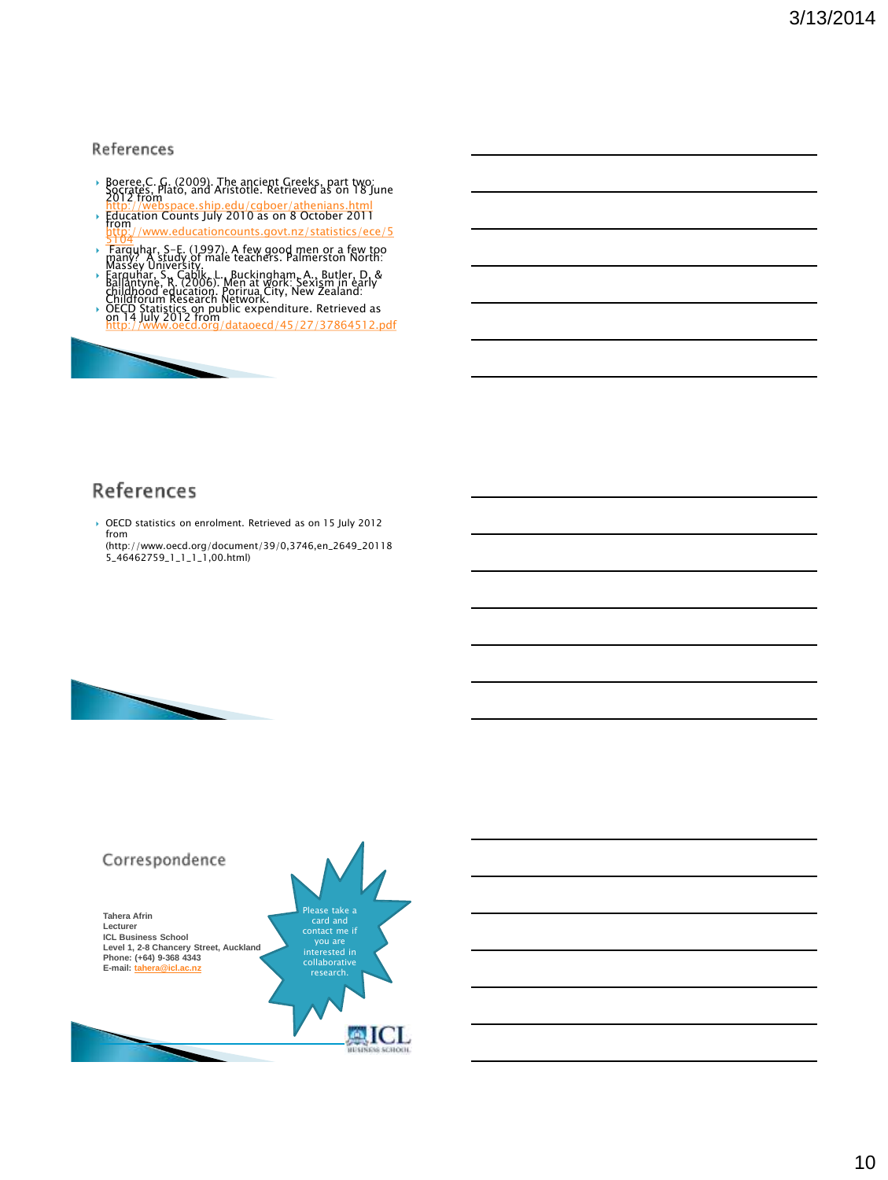### References

- Boeree,C. G. (2009). The ancient Greeks, part two:<br>Socrates, Plato, and Aristotle. Retrieved as on 18 June<br>2012 from<br>http://webspace.ship.edu/cgboer/athenians.html<br>bip.education Counts luly 2010 as on 8 October 2011
- Hup.//webspace.snip.edu/cgboer/athenians.html<br>Education Counts July 2010 as on 8 October 2011<br>[from http://www.educationcounts.govt.nz/statistics/ece/5](http://www.educationcounts.govt.nz/statistics/ece/55104)
- Farquhar, S-E. (1997). A few good men or a few too<br>many? A study of male teachers. Palmerston North:<br>Massey University.
- Farquhar, S., Cablk, L., Buckingham, A., Butler, D. & Ballantyne, R. (2006). Men at Work: Sexism in early<br>Ballantyne, R. (2006). Men at work: Sexism in early<br>childforum Research Network.
- Chiliano Statistics on public expenditure. Retrieved as<br>OECD Statistics on public expenditure. Retrieved as<br>on 14 July 2012 from<br>http://www.oecd.org/dataoecd/45/27/37864512.pdf



 OECD statistics on enrolment. Retrieved as on 15 July 2012 from (http://www.oecd.org/document/39/0,3746,en\_2649\_20118 5\_46462759\_1\_1\_1\_1,00.html)



## Correspondence Please take a **Tahera Afrin** card and **Lecturer ICL Business School** you are interested in **Level 1, 2-8 Chancery Street, Auckland Phone: (+64) 9-368 4343 E-mail: [tahera@icl.ac.nz](http://www.nzqa.govt.nz/framework/explore/index.do)** collaborative research.**AICL**